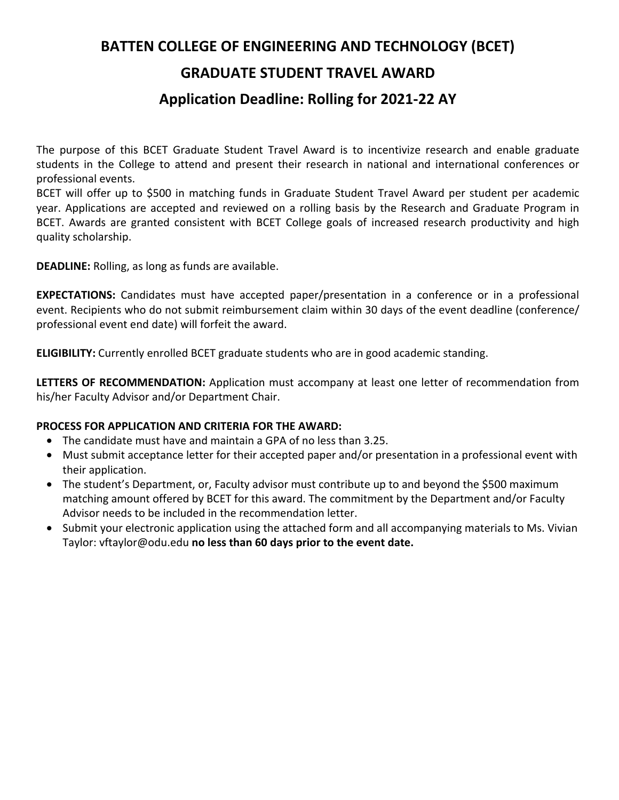## **BATTEN COLLEGE OF ENGINEERING AND TECHNOLOGY (BCET)**

### **GRADUATE STUDENT TRAVEL AWARD**

#### **Application Deadline: Rolling for 2021-22 AY**

The purpose of this BCET Graduate Student Travel Award is to incentivize research and enable graduate students in the College to attend and present their research in national and international conferences or professional events.

BCET will offer up to \$500 in matching funds in Graduate Student Travel Award per student per academic year. Applications are accepted and reviewed on a rolling basis by the Research and Graduate Program in BCET. Awards are granted consistent with BCET College goals of increased research productivity and high quality scholarship.

**DEADLINE:** Rolling, as long as funds are available.

**EXPECTATIONS:** Candidates must have accepted paper/presentation in a conference or in a professional event. Recipients who do not submit reimbursement claim within 30 days of the event deadline (conference/ professional event end date) will forfeit the award.

**ELIGIBILITY:** Currently enrolled BCET graduate students who are in good academic standing.

**LETTERS OF RECOMMENDATION:** Application must accompany at least one letter of recommendation from his/her Faculty Advisor and/or Department Chair.

#### **PROCESS FOR APPLICATION AND CRITERIA FOR THE AWARD:**

- The candidate must have and maintain a GPA of no less than 3.25.
- Must submit acceptance letter for their accepted paper and/or presentation in a professional event with their application.
- The student's Department, or, Faculty advisor must contribute up to and beyond the \$500 maximum matching amount offered by BCET for this award. The commitment by the Department and/or Faculty Advisor needs to be included in the recommendation letter.
- Submit your electronic application using the attached form and all accompanying materials to Ms. Vivian Taylor: vftaylor@odu.edu **no less than 60 days prior to the event date.**